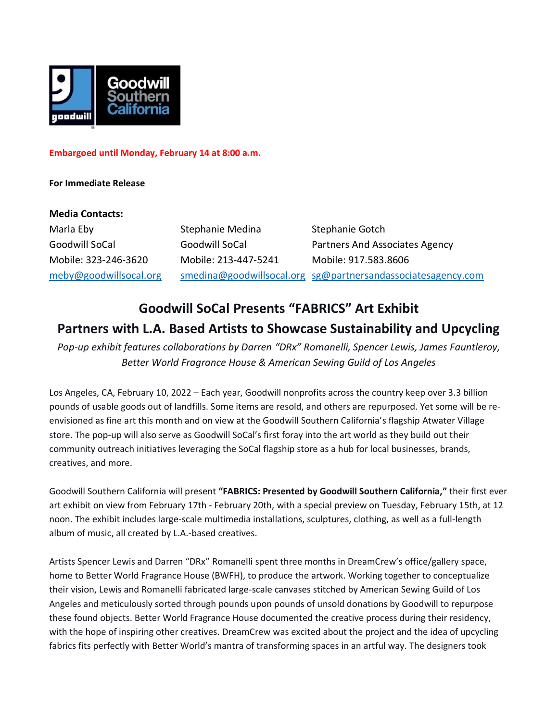

# **Embargoed until Monday, February 14 at 8:00 a.m.**

# **For Immediate Release**

### **Media Contacts:**

Marla Eby Stephanie Medina Stephanie Gotch Goodwill SoCal **Goodwill SoCal** Partners And Associates Agency Mobile: 323-246-3620 Mobile: 213-447-5241 Mobile: 917.583.8606 [meby@goodwillsocal.org](mailto:meby@goodwillsocal.org) [smedina@goodwillsocal.org](mailto:smedina@goodwillsocal.org) [sg@partnersandassociatesagency.com](mailto:sg@partnersandassociatesagency.com)

# **Goodwill SoCal Presents "FABRICS" Art Exhibit Partners with L.A. Based Artists to Showcase Sustainability and Upcycling**

*Pop-up exhibit features collaborations by Darren "DRx" Romanelli, Spencer Lewis, James Fauntleroy, Better World Fragrance House & American Sewing Guild of Los Angeles*

Los Angeles, CA, February 10, 2022 – Each year, Goodwill nonprofits across the country keep over 3.3 billion pounds of usable goods out of landfills. Some items are resold, and others are repurposed. Yet some will be reenvisioned as fine art this month and on view at the Goodwill Southern California's flagship Atwater Village store. The pop-up will also serve as Goodwill SoCal's first foray into the art world as they build out their community outreach initiatives leveraging the SoCal flagship store as a hub for local businesses, brands, creatives, and more.

Goodwill Southern California will present **"FABRICS: Presented by Goodwill Southern California,"** their first ever art exhibit on view from February 17th - February 20th, with a special preview on Tuesday, February 15th, at 12 noon. The exhibit includes large-scale multimedia installations, sculptures, clothing, as well as a full-length album of music, all created by L.A.-based creatives.

Artists Spencer Lewis and Darren "DRx" Romanelli spent three months in DreamCrew's office/gallery space, home to Better World Fragrance House (BWFH), to produce the artwork. Working together to conceptualize their vision, Lewis and Romanelli fabricated large-scale canvases stitched by American Sewing Guild of Los Angeles and meticulously sorted through pounds upon pounds of unsold donations by Goodwill to repurpose these found objects. Better World Fragrance House documented the creative process during their residency, with the hope of inspiring other creatives. DreamCrew was excited about the project and the idea of upcycling fabrics fits perfectly with Better World's mantra of transforming spaces in an artful way. The designers took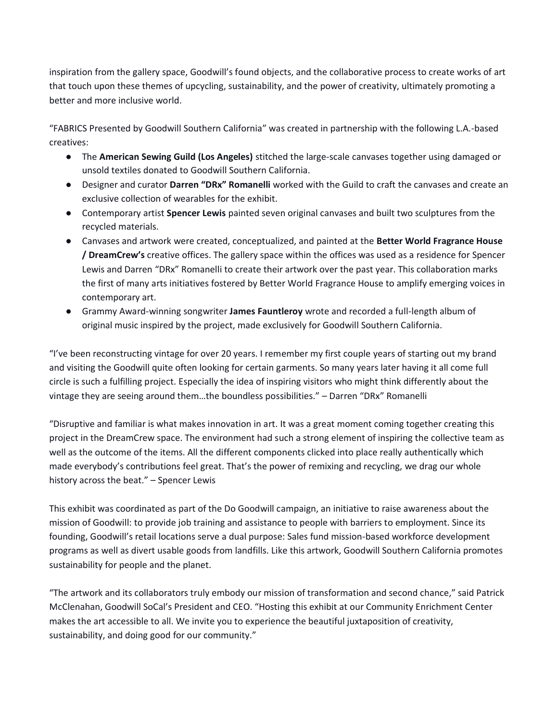inspiration from the gallery space, Goodwill's found objects, and the collaborative process to create works of art that touch upon these themes of upcycling, sustainability, and the power of creativity, ultimately promoting a better and more inclusive world.

"FABRICS Presented by Goodwill Southern California" was created in partnership with the following L.A.-based creatives:

- The **American Sewing Guild (Los Angeles)** stitched the large-scale canvases together using damaged or unsold textiles donated to Goodwill Southern California.
- Designer and curator **Darren "DRx" Romanelli** worked with the Guild to craft the canvases and create an exclusive collection of wearables for the exhibit.
- Contemporary artist **Spencer Lewis** painted seven original canvases and built two sculptures from the recycled materials.
- Canvases and artwork were created, conceptualized, and painted at the **Better World Fragrance House / DreamCrew's** creative offices. The gallery space within the offices was used as a residence for Spencer Lewis and Darren "DRx" Romanelli to create their artwork over the past year. This collaboration marks the first of many arts initiatives fostered by Better World Fragrance House to amplify emerging voices in contemporary art.
- Grammy Award-winning songwriter **James Fauntleroy** wrote and recorded a full-length album of original music inspired by the project, made exclusively for Goodwill Southern California.

"I've been reconstructing vintage for over 20 years. I remember my first couple years of starting out my brand and visiting the Goodwill quite often looking for certain garments. So many years later having it all come full circle is such a fulfilling project. Especially the idea of inspiring visitors who might think differently about the vintage they are seeing around them…the boundless possibilities." – Darren "DRx" Romanelli

"Disruptive and familiar is what makes innovation in art. It was a great moment coming together creating this project in the DreamCrew space. The environment had such a strong element of inspiring the collective team as well as the outcome of the items. All the different components clicked into place really authentically which made everybody's contributions feel great. That's the power of remixing and recycling, we drag our whole history across the beat." – Spencer Lewis

This exhibit was coordinated as part of the Do Goodwill campaign, an initiative to raise awareness about the mission of Goodwill: to provide job training and assistance to people with barriers to employment. Since its founding, Goodwill's retail locations serve a dual purpose: Sales fund mission-based workforce development programs as well as divert usable goods from landfills. Like this artwork, Goodwill Southern California promotes sustainability for people and the planet.

"The artwork and its collaborators truly embody our mission of transformation and second chance," said Patrick McClenahan, Goodwill SoCal's President and CEO. "Hosting this exhibit at our Community Enrichment Center makes the art accessible to all. We invite you to experience the beautiful juxtaposition of creativity, sustainability, and doing good for our community."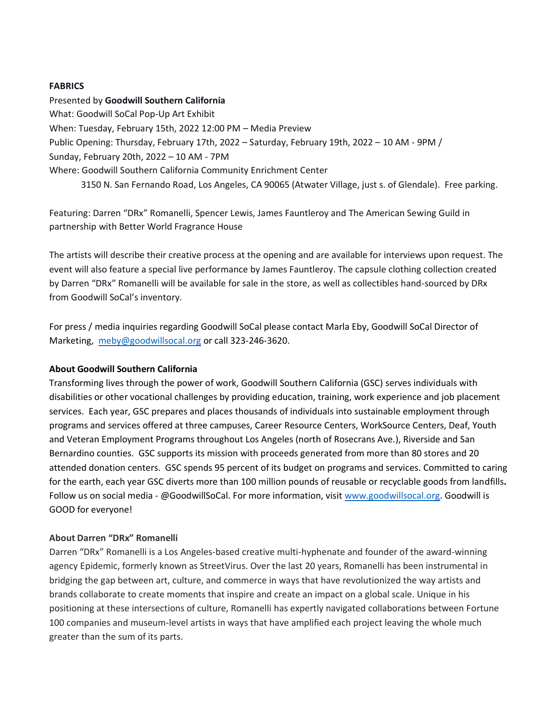#### **FABRICS**

Presented by **Goodwill Southern California** What: Goodwill SoCal Pop-Up Art Exhibit When: Tuesday, February 15th, 2022 12:00 PM – Media Preview Public Opening: Thursday, February 17th, 2022 – Saturday, February 19th, 2022 – 10 AM - 9PM / Sunday, February 20th, 2022 – 10 AM - 7PM Where: Goodwill Southern California Community Enrichment Center 3150 N. San Fernando Road, Los Angeles, CA 90065 (Atwater Village, just s. of Glendale). Free parking.

Featuring: Darren "DRx" Romanelli, Spencer Lewis, James Fauntleroy and The American Sewing Guild in partnership with Better World Fragrance House

The artists will describe their creative process at the opening and are available for interviews upon request. The event will also feature a special live performance by James Fauntleroy. The capsule clothing collection created by Darren "DRx" Romanelli will be available for sale in the store, as well as collectibles hand-sourced by DRx from Goodwill SoCal's inventory.

For press / media inquiries regarding Goodwill SoCal please contact Marla Eby, Goodwill SoCal Director of Marketing, [meby@goodwillsocal.org](mailto:meby@goodwillsocal.org) or call 323-246-3620.

### **About Goodwill Southern California**

Transforming lives through the power of work, Goodwill Southern California (GSC) serves individuals with disabilities or other vocational challenges by providing education, training, work experience and job placement services. Each year, GSC prepares and places thousands of individuals into sustainable employment through programs and services offered at three campuses, Career Resource Centers, WorkSource Centers, Deaf, Youth and Veteran Employment Programs throughout Los Angeles (north of Rosecrans Ave.), Riverside and San Bernardino counties. GSC supports its mission with proceeds generated from more than 80 stores and 20 attended donation centers. GSC spends 95 percent of its budget on programs and services. Committed to caring for the earth, each year GSC diverts more than 100 million pounds of reusable or recyclable goods from landfills**.** Follow us on social media - @GoodwillSoCal. For more information, visit [www.goodwillsocal.org.](http://www.goodwillsocal.org/) Goodwill is GOOD for everyone!

### **About Darren "DRx" Romanelli**

Darren "DRx" Romanelli is a Los Angeles-based creative multi-hyphenate and founder of the award-winning agency Epidemic, formerly known as StreetVirus. Over the last 20 years, Romanelli has been instrumental in bridging the gap between art, culture, and commerce in ways that have revolutionized the way artists and brands collaborate to create moments that inspire and create an impact on a global scale. Unique in his positioning at these intersections of culture, Romanelli has expertly navigated collaborations between Fortune 100 companies and museum-level artists in ways that have amplified each project leaving the whole much greater than the sum of its parts.